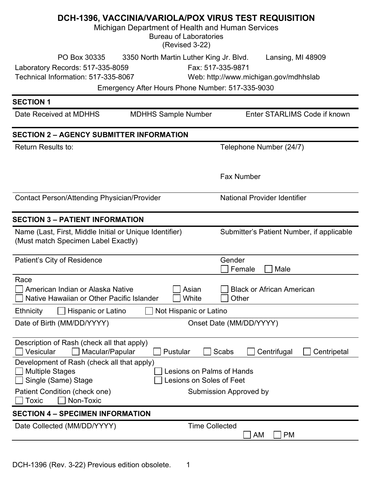|                                                                                                | Michigan Department of Health and Human Services                                            | DCH-1396, VACCINIA/VARIOLA/POX VIRUS TEST REQUISITION                           |
|------------------------------------------------------------------------------------------------|---------------------------------------------------------------------------------------------|---------------------------------------------------------------------------------|
|                                                                                                | <b>Bureau of Laboratories</b><br>(Revised 3-22)                                             |                                                                                 |
| PO Box 30335<br>Laboratory Records: 517-335-8059<br>Technical Information: 517-335-8067        | 3350 North Martin Luther King Jr. Blvd.<br>Emergency After Hours Phone Number: 517-335-9030 | Lansing, MI 48909<br>Fax: 517-335-9871<br>Web: http://www.michigan.gov/mdhhslab |
| <b>SECTION 1</b>                                                                               |                                                                                             |                                                                                 |
| Date Received at MDHHS                                                                         | <b>MDHHS Sample Number</b>                                                                  | Enter STARLIMS Code if known                                                    |
| <b>SECTION 2 - AGENCY SUBMITTER INFORMATION</b>                                                |                                                                                             |                                                                                 |
| Return Results to:                                                                             |                                                                                             | Telephone Number (24/7)                                                         |
|                                                                                                |                                                                                             | <b>Fax Number</b>                                                               |
| <b>Contact Person/Attending Physician/Provider</b>                                             |                                                                                             | <b>National Provider Identifier</b>                                             |
| <b>SECTION 3 - PATIENT INFORMATION</b>                                                         |                                                                                             |                                                                                 |
| Name (Last, First, Middle Initial or Unique Identifier)<br>(Must match Specimen Label Exactly) |                                                                                             | Submitter's Patient Number, if applicable                                       |
| Patient's City of Residence                                                                    |                                                                                             | Gender<br>Female<br>Male                                                        |
| Race<br>$\Box$ American Indian or Alaska Native<br>Native Hawaiian or Other Pacific Islander   | $\Box$ Asian<br>White                                                                       | □ Black or African American<br>Other                                            |
| Hispanic or Latino<br><b>Ethnicity</b>                                                         | Not Hispanic or Latino                                                                      |                                                                                 |
| Date of Birth (MM/DD/YYYY)                                                                     |                                                                                             | Onset Date (MM/DD/YYYY)                                                         |
| Description of Rash (check all that apply)<br>Vesicular<br>Macular/Papular                     | Pustular                                                                                    | Scabs<br>Centrifugal<br>Centripetal                                             |
| Development of Rash (check all that apply)<br><b>Multiple Stages</b><br>Single (Same) Stage    | <b>Lesions on Palms of Hands</b><br>esions on Soles of Feet                                 |                                                                                 |
| Patient Condition (check one)<br>Toxic<br>Non-Toxic                                            |                                                                                             | Submission Approved by                                                          |
| <b>SECTION 4 - SPECIMEN INFORMATION</b>                                                        |                                                                                             |                                                                                 |
| Date Collected (MM/DD/YYYY)                                                                    | <b>Time Collected</b>                                                                       | <b>AM</b><br><b>PM</b>                                                          |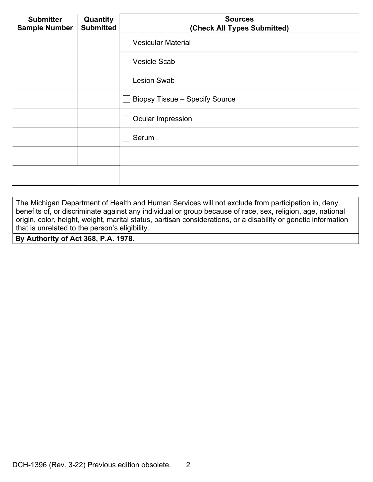| <b>Submitter</b><br><b>Sample Number</b> | Quantity<br><b>Submitted</b> | <b>Sources</b><br>(Check All Types Submitted) |  |
|------------------------------------------|------------------------------|-----------------------------------------------|--|
|                                          |                              | <b>Vesicular Material</b>                     |  |
|                                          |                              | <b>Vesicle Scab</b>                           |  |
|                                          |                              | <b>Lesion Swab</b>                            |  |
|                                          |                              | <b>Biopsy Tissue - Specify Source</b>         |  |
|                                          |                              | <b>Ocular Impression</b>                      |  |
|                                          |                              | Serum                                         |  |
|                                          |                              |                                               |  |
|                                          |                              |                                               |  |

The Michigan Department of Health and Human Services will not exclude from participation in, deny benefits of, or discriminate against any individual or group because of race, sex, religion, age, national origin, color, height, weight, marital status, partisan considerations, or a disability or genetic information that is unrelated to the person's eligibility.

By Authority of Act 368, P.A. 1978.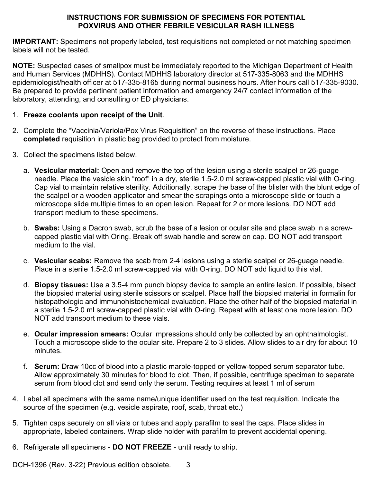## INSTRUCTIONS FOR SUBMISSION OF SPECIMENS FOR POTENTIAL POXVIRUS AND OTHER FEBRILE VESICULAR RASH ILLNESS

IMPORTANT: Specimens not properly labeled, test requisitions not completed or not matching specimen labels will not be tested.

NOTE: Suspected cases of smallpox must be immediately reported to the Michigan Department of Health and Human Services (MDHHS). Contact MDHHS laboratory director at 517-335-8063 and the MDHHS epidemiologist/health officer at 517-335-8165 during normal business hours. After hours call 517-335-9030. Be prepared to provide pertinent patient information and emergency 24/7 contact information of the laboratory, attending, and consulting or ED physicians.

## 1. Freeze coolants upon receipt of the Unit.

- 2. Complete the "Vaccinia/Variola/Pox Virus Requisition" on the reverse of these instructions. Place completed requisition in plastic bag provided to protect from moisture.
- 3. Collect the specimens listed below.
	- a. Vesicular material: Open and remove the top of the lesion using a sterile scalpel or 26-guage needle. Place the vesicle skin "roof" in a dry, sterile 1.5-2.0 ml screw-capped plastic vial with O-ring. Cap vial to maintain relative sterility. Additionally, scrape the base of the blister with the blunt edge of the scalpel or a wooden applicator and smear the scrapings onto a microscope slide or touch a microscope slide multiple times to an open lesion. Repeat for 2 or more lesions. DO NOT add transport medium to these specimens.
	- b. Swabs: Using a Dacron swab, scrub the base of a lesion or ocular site and place swab in a screwcapped plastic vial with Oring. Break off swab handle and screw on cap. DO NOT add transport medium to the vial.
	- c. Vesicular scabs: Remove the scab from 2-4 lesions using a sterile scalpel or 26-guage needle. Place in a sterile 1.5-2.0 ml screw-capped vial with O-ring. DO NOT add liquid to this vial.
	- d. Biopsy tissues: Use a 3.5-4 mm punch biopsy device to sample an entire lesion. If possible, bisect the biopsied material using sterile scissors or scalpel. Place half the biopsied material in formalin for histopathologic and immunohistochemical evaluation. Place the other half of the biopsied material in a sterile 1.5-2.0 ml screw-capped plastic vial with O-ring. Repeat with at least one more lesion. DO NOT add transport medium to these vials.
	- e. **Ocular impression smears:** Ocular impressions should only be collected by an ophthalmologist. Touch a microscope slide to the ocular site. Prepare 2 to 3 slides. Allow slides to air dry for about 10 minutes.
	- f. Serum: Draw 10cc of blood into a plastic marble-topped or yellow-topped serum separator tube. Allow approximately 30 minutes for blood to clot. Then, if possible, centrifuge specimen to separate serum from blood clot and send only the serum. Testing requires at least 1 ml of serum
- 4. Label all specimens with the same name/unique identifier used on the test requisition. Indicate the source of the specimen (e.g. vesicle aspirate, roof, scab, throat etc.)
- 5. Tighten caps securely on all vials or tubes and apply parafilm to seal the caps. Place slides in appropriate, labeled containers. Wrap slide holder with parafilm to prevent accidental opening.
- 6. Refrigerate all specimens DO NOT FREEZE until ready to ship.

DCH-1396 (Rev. 3-22) Previous edition obsolete. 3